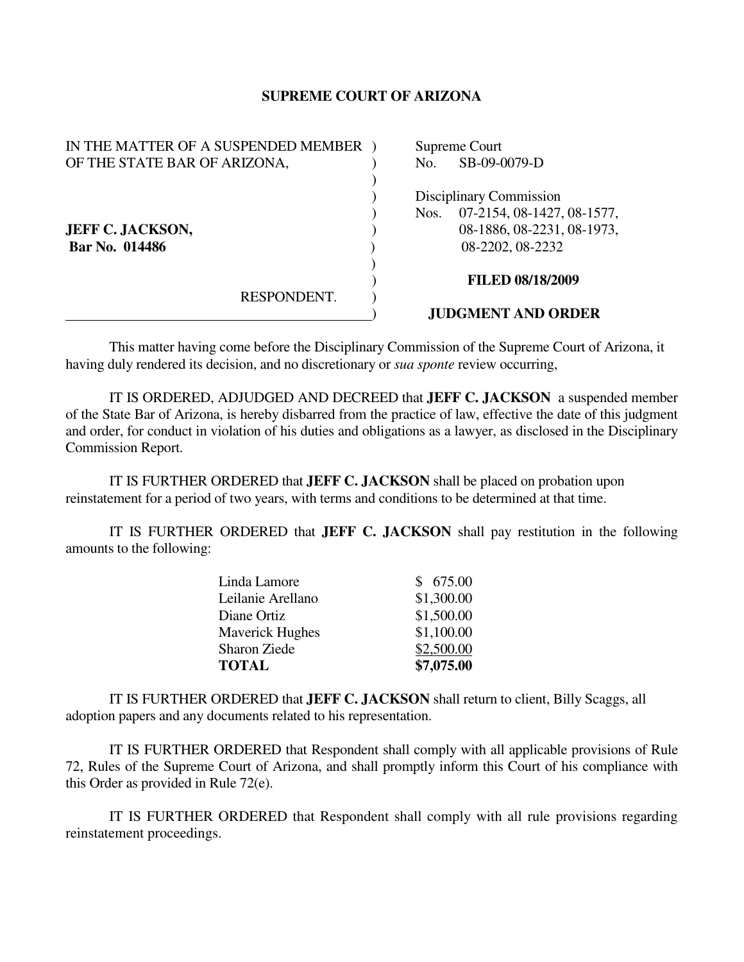## **SUPREME COURT OF ARIZONA**

| IN THE MATTER OF A SUSPENDED MEMBER |  | Supreme Court                      |  |
|-------------------------------------|--|------------------------------------|--|
| OF THE STATE BAR OF ARIZONA,        |  | SB-09-0079-D<br>No.                |  |
|                                     |  |                                    |  |
|                                     |  | Disciplinary Commission            |  |
|                                     |  | 07-2154, 08-1427, 08-1577,<br>Nos. |  |
| <b>JEFF C. JACKSON,</b>             |  | 08-1886, 08-2231, 08-1973,         |  |
| Bar No. 014486                      |  | 08-2202, 08-2232                   |  |
|                                     |  |                                    |  |
|                                     |  | <b>FILED 08/18/2009</b>            |  |
| RESPONDENT.                         |  |                                    |  |
|                                     |  | <b>JUDGMENT AND ORDER</b>          |  |

This matter having come before the Disciplinary Commission of the Supreme Court of Arizona, it having duly rendered its decision, and no discretionary or *sua sponte* review occurring,

 IT IS ORDERED, ADJUDGED AND DECREED that **JEFF C. JACKSON** a suspended member of the State Bar of Arizona, is hereby disbarred from the practice of law, effective the date of this judgment and order, for conduct in violation of his duties and obligations as a lawyer, as disclosed in the Disciplinary Commission Report.

 IT IS FURTHER ORDERED that **JEFF C. JACKSON** shall be placed on probation upon reinstatement for a period of two years, with terms and conditions to be determined at that time.

 IT IS FURTHER ORDERED that **JEFF C. JACKSON** shall pay restitution in the following amounts to the following:

| Linda Lamore           | \$675.00   |
|------------------------|------------|
| Leilanie Arellano      | \$1,300.00 |
| Diane Ortiz            | \$1,500.00 |
| <b>Maverick Hughes</b> | \$1,100.00 |
| <b>Sharon Ziede</b>    | \$2,500.00 |
| <b>TOTAL</b>           | \$7,075.00 |

 IT IS FURTHER ORDERED that **JEFF C. JACKSON** shall return to client, Billy Scaggs, all adoption papers and any documents related to his representation.

 IT IS FURTHER ORDERED that Respondent shall comply with all applicable provisions of Rule 72, Rules of the Supreme Court of Arizona, and shall promptly inform this Court of his compliance with this Order as provided in Rule 72(e).

 IT IS FURTHER ORDERED that Respondent shall comply with all rule provisions regarding reinstatement proceedings.